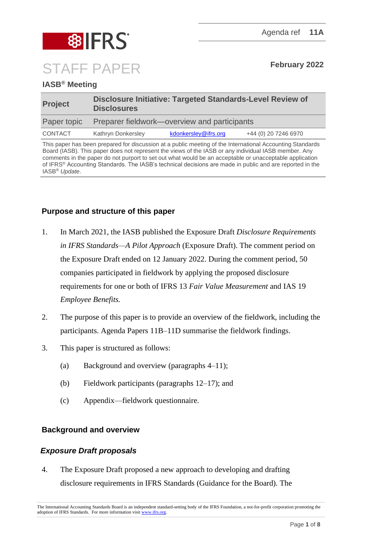

# **IASB® Meeting**

| <b>Project</b> | <b>Disclosure Initiative: Targeted Standards-Level Review of</b><br><b>Disclosures</b> |                      |                      |
|----------------|----------------------------------------------------------------------------------------|----------------------|----------------------|
| Paper topic    | Preparer fieldwork—overview and participants                                           |                      |                      |
| CONTACT        | Kathryn Donkersley                                                                     | kdonkersley@ifrs.org | +44 (0) 20 7246 6970 |

This paper has been prepared for discussion at a public meeting of the International Accounting Standards Board (IASB). This paper does not represent the views of the IASB or any individual IASB member. Any comments in the paper do not purport to set out what would be an acceptable or unacceptable application of IFRS® Accounting Standards. The IASB's technical decisions are made in public and are reported in the IASB® *Update*.

## **Purpose and structure of this paper**

- 1. In March 2021, the IASB published the Exposure Draft *Disclosure Requirements in IFRS Standards—A Pilot Approach* (Exposure Draft). The comment period on the Exposure Draft ended on 12 January 2022. During the comment period, 50 companies participated in fieldwork by applying the proposed disclosure requirements for one or both of IFRS 13 *Fair Value Measurement* and IAS 19 *Employee Benefits.*
- 2. The purpose of this paper is to provide an overview of the fieldwork, including the participants. Agenda Papers 11B–11D summarise the fieldwork findings.
- 3. This paper is structured as follows:
	- (a) Background and overview (paragraphs [4–](#page-0-0)[11\)](#page-3-0);
	- (b) Fieldwork participants (paragraphs [12–](#page-3-1)[17\)](#page-5-0); and
	- (c) Appendix—fieldwork questionnaire.

## **Background and overview**

## *Exposure Draft proposals*

<span id="page-0-0"></span>4. The Exposure Draft proposed a new approach to developing and drafting disclosure requirements in IFRS Standards (Guidance for the Board). The

The International Accounting Standards Board is an independent standard-setting body of the IFRS Foundation, a not-for-profit corporation promoting the adoption of IFRS Standards. For more information visi[t www.ifrs.org.](http://www.ifrs.org/)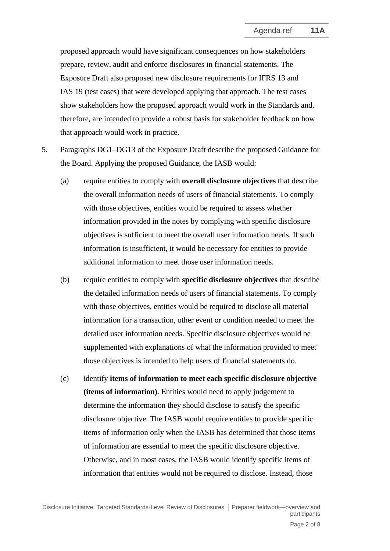proposed approach would have significant consequences on how stakeholders prepare, review, audit and enforce disclosures in financial statements. The Exposure Draft also proposed new disclosure requirements for IFRS 13 and IAS 19 (test cases) that were developed applying that approach. The test cases show stakeholders how the proposed approach would work in the Standards and, therefore, are intended to provide a robust basis for stakeholder feedback on how that approach would work in practice.

- <span id="page-1-0"></span>5. Paragraphs DG1–DG13 of the Exposure Draft describe the proposed Guidance for the Board. Applying the proposed Guidance, the IASB would:
	- (a) require entities to comply with **overall disclosure objectives** that describe the overall information needs of users of financial statements. To comply with those objectives, entities would be required to assess whether information provided in the notes by complying with specific disclosure objectives is sufficient to meet the overall user information needs. If such information is insufficient, it would be necessary for entities to provide additional information to meet those user information needs.
	- (b) require entities to comply with **specific disclosure objectives** that describe the detailed information needs of users of financial statements. To comply with those objectives, entities would be required to disclose all material information for a transaction, other event or condition needed to meet the detailed user information needs. Specific disclosure objectives would be supplemented with explanations of what the information provided to meet those objectives is intended to help users of financial statements do.
	- (c) identify **items of information to meet each specific disclosure objective (items of information)**. Entities would need to apply judgement to determine the information they should disclose to satisfy the specific disclosure objective. The IASB would require entities to provide specific items of information only when the IASB has determined that those items of information are essential to meet the specific disclosure objective. Otherwise, and in most cases, the IASB would identify specific items of information that entities would not be required to disclose. Instead, those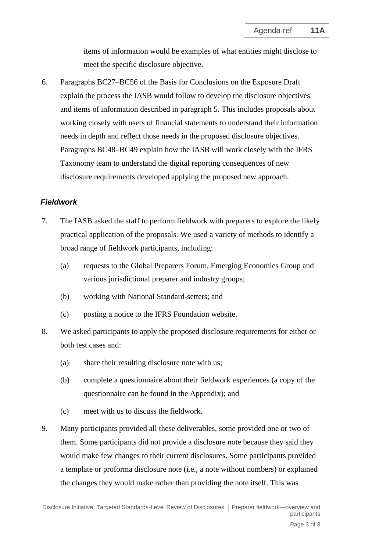items of information would be examples of what entities might disclose to meet the specific disclosure objective.

6. Paragraphs BC27–BC56 of the Basis for Conclusions on the Exposure Draft explain the process the IASB would follow to develop the disclosure objectives and items of information described in paragraph [5.](#page-1-0) This includes proposals about working closely with users of financial statements to understand their information needs in depth and reflect those needs in the proposed disclosure objectives. Paragraphs BC48–BC49 explain how the IASB will work closely with the IFRS Taxonomy team to understand the digital reporting consequences of new disclosure requirements developed applying the proposed new approach.

## *Fieldwork*

- 7. The IASB asked the staff to perform fieldwork with preparers to explore the likely practical application of the proposals. We used a variety of methods to identify a broad range of fieldwork participants, including:
	- (a) requests to the Global Preparers Forum, Emerging Economies Group and various jurisdictional preparer and industry groups;
	- (b) working with National Standard-setters; and
	- (c) posting a notice to the IFRS Foundation website.
- 8. We asked participants to apply the proposed disclosure requirements for either or both test cases and:
	- (a) share their resulting disclosure note with us;
	- (b) complete a questionnaire about their fieldwork experiences (a copy of the questionnaire can be found in the Appendix); and
	- (c) meet with us to discuss the fieldwork.
- 9. Many participants provided all these deliverables, some provided one or two of them. Some participants did not provide a disclosure note because they said they would make few changes to their current disclosures. Some participants provided a template or proforma disclosure note (i.e., a note without numbers) or explained the changes they would make rather than providing the note itself. This was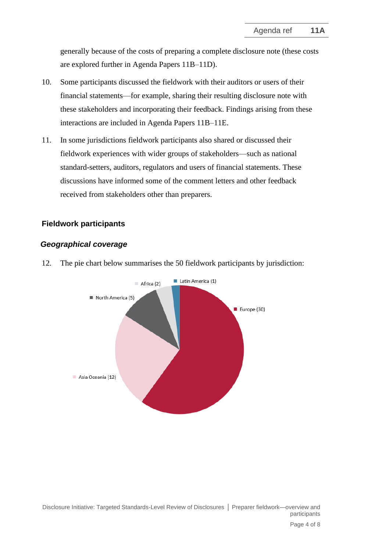generally because of the costs of preparing a complete disclosure note (these costs are explored further in Agenda Papers 11B–11D).

- 10. Some participants discussed the fieldwork with their auditors or users of their financial statements—for example, sharing their resulting disclosure note with these stakeholders and incorporating their feedback. Findings arising from these interactions are included in Agenda Papers 11B–11E.
- <span id="page-3-0"></span>11. In some jurisdictions fieldwork participants also shared or discussed their fieldwork experiences with wider groups of stakeholders—such as national standard-setters, auditors, regulators and users of financial statements. These discussions have informed some of the comment letters and other feedback received from stakeholders other than preparers.

# **Fieldwork participants**

## *Geographical coverage*

<span id="page-3-1"></span>12. The pie chart below summarises the 50 fieldwork participants by jurisdiction:

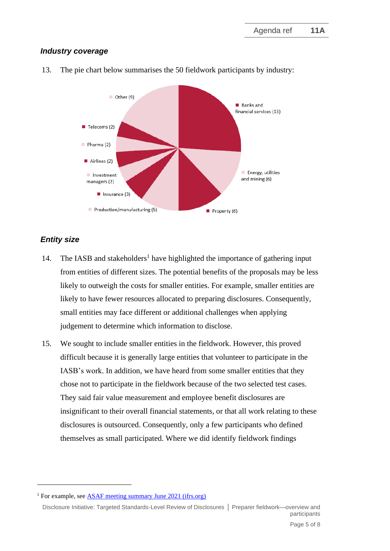# *Industry coverage*



13. The pie chart below summarises the 50 fieldwork participants by industry:

# *Entity size*

- 14. The IASB and stakeholders<sup>1</sup> have highlighted the importance of gathering input from entities of different sizes. The potential benefits of the proposals may be less likely to outweigh the costs for smaller entities. For example, smaller entities are likely to have fewer resources allocated to preparing disclosures. Consequently, small entities may face different or additional challenges when applying judgement to determine which information to disclose.
- 15. We sought to include smaller entities in the fieldwork. However, this proved difficult because it is generally large entities that volunteer to participate in the IASB's work. In addition, we have heard from some smaller entities that they chose not to participate in the fieldwork because of the two selected test cases. They said fair value measurement and employee benefit disclosures are insignificant to their overall financial statements, or that all work relating to these disclosures is outsourced. Consequently, only a few participants who defined themselves as small participated. Where we did identify fieldwork findings

<sup>&</sup>lt;sup>1</sup> For example, see [ASAF meeting summary June 2021 \(ifrs.org\)](https://www.ifrs.org/content/dam/ifrs/meetings/2021/june/asaf/asaf-meeting-summary-june-2021.pdf)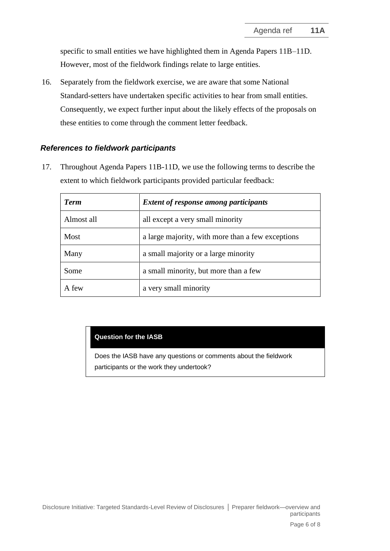specific to small entities we have highlighted them in Agenda Papers 11B–11D. However, most of the fieldwork findings relate to large entities.

16. Separately from the fieldwork exercise, we are aware that some National Standard-setters have undertaken specific activities to hear from small entities. Consequently, we expect further input about the likely effects of the proposals on these entities to come through the comment letter feedback.

## *References to fieldwork participants*

<span id="page-5-0"></span>17. Throughout Agenda Papers 11B-11D, we use the following terms to describe the extent to which fieldwork participants provided particular feedback:

| <b>Term</b> | <b>Extent of response among participants</b>      |
|-------------|---------------------------------------------------|
| Almost all  | all except a very small minority                  |
| Most        | a large majority, with more than a few exceptions |
| Many        | a small majority or a large minority              |
| Some        | a small minority, but more than a few             |
| A few       | a very small minority                             |

## **Question for the IASB**

Does the IASB have any questions or comments about the fieldwork participants or the work they undertook?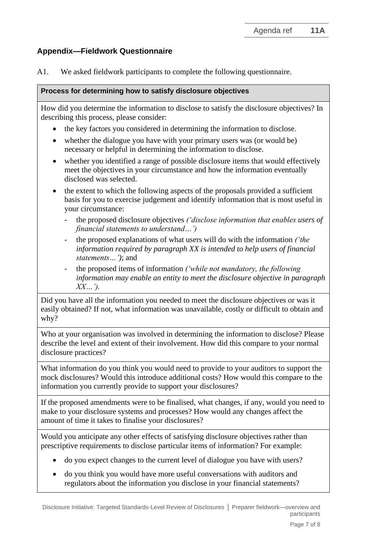# **Appendix—Fieldwork Questionnaire**

A1. We asked fieldwork participants to complete the following questionnaire.

### **Process for determining how to satisfy disclosure objectives**

How did you determine the information to disclose to satisfy the disclosure objectives? In describing this process, please consider:

- the key factors you considered in determining the information to disclose.
- whether the dialogue you have with your primary users was (or would be) necessary or helpful in determining the information to disclose.
- whether you identified a range of possible disclosure items that would effectively meet the objectives in your circumstance and how the information eventually disclosed was selected.
- the extent to which the following aspects of the proposals provided a sufficient basis for you to exercise judgement and identify information that is most useful in your circumstance:
	- the proposed disclosure objectives *('disclose information that enables users of financial statements to understand…')*
	- the proposed explanations of what users will do with the information *('the information required by paragraph XX is intended to help users of financial statements…')*; and
	- the proposed items of information *('while not mandatory, the following information may enable an entity to meet the disclosure objective in paragraph XX…').*

Did you have all the information you needed to meet the disclosure objectives or was it easily obtained? If not, what information was unavailable, costly or difficult to obtain and why?

Who at your organisation was involved in determining the information to disclose? Please describe the level and extent of their involvement. How did this compare to your normal disclosure practices?

What information do you think you would need to provide to your auditors to support the mock disclosures? Would this introduce additional costs? How would this compare to the information you currently provide to support your disclosures?

If the proposed amendments were to be finalised, what changes, if any, would you need to make to your disclosure systems and processes? How would any changes affect the amount of time it takes to finalise your disclosures?

Would you anticipate any other effects of satisfying disclosure objectives rather than prescriptive requirements to disclose particular items of information? For example:

- do you expect changes to the current level of dialogue you have with users?
- do you think you would have more useful conversations with auditors and regulators about the information you disclose in your financial statements?